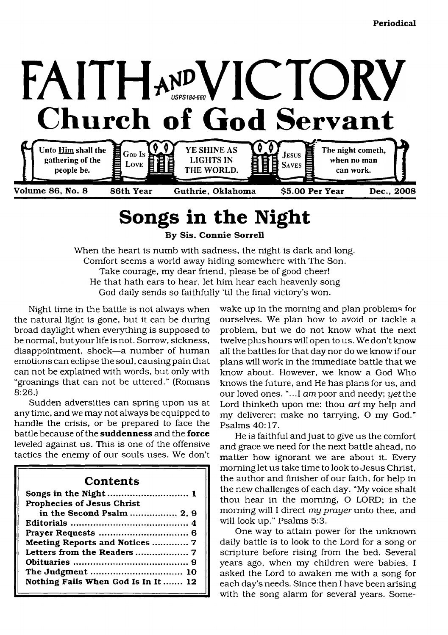

## <span id="page-0-0"></span>**Songs in the Night**

**By Sis. Connie Sorrell**

When the heart is numb with sadness, the night is dark and long. Comfort seems a world away hiding somewhere with The Son. Take courage, my dear friend, please be of good cheer! He that hath ears to hear, let him hear each heavenly song God daily sends so faithfully 'til the final victory's won.

Night time in the battle is not always when the natural light is gone, but it can be during broad daylight when everything is supposed to be normal, but your life is not. Sorrow, sickness, disappointment, shock—a number of human emotions can eclipse the soul, causing pain that can not be explained with words, but only with "groanings that can not be uttered." (Romans 8:26.)

Sudden adversities can spring upon us at any time, and we may not always be equipped to handle the crisis, or be prepared to face the battle because of the **suddenness** and the **force** leveled against us. This is one of the offensive tactics the enemy of our souls uses. We don't

#### **Contents**

| Prophecies of Jesus Christ          |
|-------------------------------------|
| in the Second Psalm  2, 9           |
|                                     |
|                                     |
| Meeting Reports and Notices  7      |
| Letters from the Readers  7         |
|                                     |
|                                     |
| Nothing Fails When God Is In It  12 |

wake up in the morning and plan problems for ourselves. We plan how to avoid or tackle a problem, but we do not know what the next twelve plus hours will open to us. We don't know all the battles for that day nor do we know if our plans will work in the immediate battle that we know about. However, we know a God Who knows the future, and He has plans for us, and our loved ones. "...I *am* poor and needy; yet the Lord thinketh upon me: thou *art* my help and my deliverer; make no tarrying, O my God." Psalms 40:17.

He is faithful and just to give us the comfort and grace we need for the next battle ahead, no matter how ignorant we are about it. Every morning let us take time to look to Jesus Christ, the author and finisher of our faith, for help in the new challenges of each day. "My voice shalt thou hear in the morning, O LORD; in the morning will I direct *my prayer* unto thee, and will look up." Psalms 5:3.

One way to attain power for the unknown daily battle is to look to the Lord for a song or scripture before rising from the bed. Several years ago, when my children were babies, I asked the Lord to awaken me with a song for each day's needs. Since then I have been arising with the song alarm for several years. Some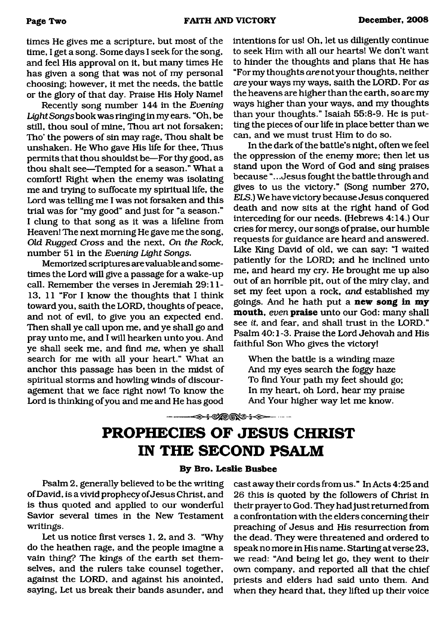**times He gives me a scripture, but most of the time, I get a song. Some days I seek for the song,** and feel His approval on it, but many times He has given a song that was not of my personal **choosing; however, it met the needs, the battle** or the glory of that day. Praise His Holy Name!

**Recently song num ber 144 in the** *Evening* Light Songs book was ringing in my ears. "Oh, be still, thou soul of mine, Thou art not forsaken; Tho' the powers of sin may rage, Thou shalt be unshaken. He Who gave His life for thee, Thus **permits that thou shouldst be— For thy good, as** thou shalt see-Tempted for a season." What a comfort! Right when the enemy was isolating **me and trying to suffocate my spiritual life, the** Lord was telling me I was not forsaken and this trial was for "my good" and just for "a season." I clung to that song as it was a lifeline from **Heaven! The next morning He gave me the song,** *Old Rugged Cross* **and the next,** *On the Rock,* **num ber 51 in the** *Evening Light Songs.*

**Memorized scriptures are valuable and some**times the Lord will give a passage for a wake-up call. Remember the verses in Jeremiah 29:11-**13, 11 "For I know the thoughts that I think** toward you, saith the LORD, thoughts of peace, **and not of evil, to give you an expected end. Then shall ye call upon me, and ye shall go and pray unto me, and I will hearken unto you. And ye shall seek me, and find** *me,* **when ye shall** search for me with all your heart." What an anchor this passage has been in the midst of spiritual storms and howling winds of discour**agement that we face right now! To know the** Lord is thinking of you and me and He has good

intentions for us! Oh, let us diligently continue to seek Him with all our hearts! We don't want to hinder the thoughts and plans that He has **"For my thoughts** *are* **not your thoughts, neither** *are* **your ways my ways, saith the LORD. For** *as* **the heavens are higher than the earth, so are my ways higher than your ways, and my thoughts than your thoughts." Isaiah 55:8-9. He is putting the pieces of our life in place better them we can, and we must trust Him to do so.**

**In the dark of the battle's night, often we feel** the oppression of the enemy more; then let us stand upon the Word of God and sing praises **because ".. .Jesus fought the battle through and** gives to us the victory." (Song number 270, *ELS.*) We have victory because Jesus conquered death and now sits at the right hand of God **interceding for our needs. (Hebrews 4:14.) Our** cries for mercy, our songs of praise, our humble **requests for guidance are heard and answered. Like King David of old, we can say: "I waited patiently for the LORD ; and he inclined unto me, and heard my cry. He brought me up also** out of an horrible pit, out of the miry clay, and **set my feet upon a rock,** *and* **established my goings. And he hath put a new song in my mouth,** *even* **praise unto our God: many shall see** *it,* **and fear, and shall trust in the LORD ."** Psalm 40:1-3. Praise the Lord Jehovah and His faithful Son Who gives the victory!

When the battle is a winding maze **And my eyes search the foggy haze To find Your path my feet should go; In my heart, oh Lord, hear my praise** And Your higher way let me know.

## --<del>---<> \$</del> %®®%\$ <del>\$ \$</del> **PROPHECIES OF JESUS CHRIST**

### **IN THE SECOND PSALM**

#### **By Bro. Leslie Busbee**

**Psalm 2, generally believed to be the writing** of David, is a vivid prophecy of Jesus Christ, and **is thus quoted and applied to our wonderful Savior several times in the New Testament writings.**

Let us notice first verses 1, 2, and 3. "Why **do the heathen rage, and the people imagine a** vain thing? The kings of the earth set them**selves, and the rulers take counsel together, against the LORD , and against his anointed,** saying, Let us break their bands asunder, and

cast away their cords from us." In Acts 4:25 and 26 this is quoted by the followers of Christ in their prayer to God. They had just returned from **a confrontation with the elders concerning their** preaching of Jesus and His resurrection from **the dead. They were threatened and ordered to** speak no more in His name. Starting at verse 23, **we read: "And being let go, they went to their own company, and reported all that the chief priests and elders had said unto them. And when they heard that, they lifted up their voice**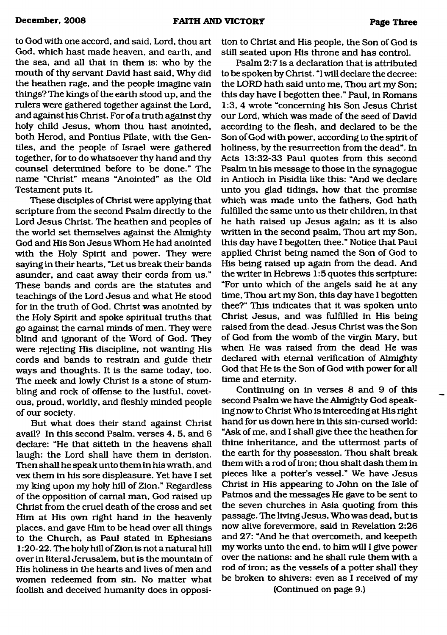**to God with one accord, and said, Lord, thou art God, which hast made heaven, and earth, and the sea, and all that in them is: who by the** mouth of thy servant David hast said, Why did **the heathen rage, and the people imagine vain things? The kings of the earth stood up, and the rulers were gathered together against the Lord, and against his Christ. For of a truth against thy holy child Jesus, whom thou hast anointed, both Herod, and Pontius Pilate, with the Gen tiles, and the people of Israel were gathered together, for to do whatsoever thy hand and thy counsel determined before to be done." The** name "Christ" means "Anointed" as the Old **Testament puts it.**

**These disciples of Christ were applying that scripture from the second Psalm directly to the** Lord Jesus Christ. The heathen and peoples of **the world set themselves against the Almighty** God and His Son Jesus Whom He had anointed **with the Holy Spirit and power. They were** saying in their hearts, "Let us break their bands asunder, and cast away their cords from us." These bands and cords are the statutes and **teachings of the Lord Jesus and what He stood** for in the truth of God. Christ was anointed by **the Holy Spirit and spoke spiritual truths that go against the carnal m inds of men. They were** blind and ignorant of the Word of God. They **were rejecting His discipline, not wanting His** cords and bands to restrain and guide their ways and thoughts. It is the same today, too. The meek and lowly Christ is a stone of stum**bling and rock of offense to the lustful, covet**ous, proud, worldly, and fleshly minded people of our society.

**But what does their stand against Christ** avail? In this second Psalm, verses 4, 5, and 6 **declare: "He that sitteth in the heavens shall laugh: the Lord shall have them in derision.** Then shall he speak unto them in his wrath, and **vex them in his sore displeasure. Yet have I set** my king upon my holy hill of Zion." Regardless of the opposition of carnal man, God raised up Christ from the cruel death of the cross and set Him at His own right hand in the heavenly **places, and gave Him to be head over all things to the Church, as Paul stated in Ephesians** 1:20-22. The holy hill of Zion is not a natural hill over in literal Jerusalem, but is the mountain of His holiness in the hearts and lives of men and women redeemed from sin. No matter what **foolish and deceived humanity does in opposi-** **tion to Christ and His people, the Son of God is still seated upon His throne and has control.**

**Psalm 2:7 is a declaration that is attributed to be spoken by Christ. "I will declare the decree: the LORD hath said unto me, Thou art my Son;** this day have I begotten thee." Paul, in Romans **1:3, 4 wrote "concerning his Son Jesus Christ** our Lord, which was made of the seed of David **according to the flesh, and declared to be the** Son of God with power, according to the spirit of **holiness, by the resurrection from the dead". In** Acts 13:32-33 Paul quotes from this second Psalm in his message to those in the synagogue **in Antioch in Pisidia like this: "And we declare** unto you glad tidings, how that the promise which was made unto the fathers, God hath fulfilled the same unto us their children, in that **he hath raised up Jesus again; as it is also** written in the second psalm, Thou art my Son, this day have I begotten thee." Notice that Paul applied Christ being named the Son of God to His being raised up again from the dead. And the writer in Hebrews 1:5 quotes this scripture: "For unto which of the angels said he at any **time, Thou art my Son, this day have I begotten** thee?" This indicates that it was spoken unto Christ Jesus, and was fulfilled in His being raised from the dead. Jesus Christ was the Son of God from the womb of the virgin Mary, but when He was raised from the dead He was declared with eternal verification of Almighty God that He is the Son of God with power for all **time and eternity.**

Continuing on in verses 8 and 9 of this second Psalm we have the Almighty God speaking now to Christ Who is interceding at His right hand for us down here in this sin-cursed world: **"A sk of me, and I shall give thee the heathen for thine inheritance, and the uttermost parts of the earth for thy possession. Thou shalt break** them with a rod of iron; thou shalt dash them in pieces like a potter's vessel." We have Jesus Christ in His appearing to John on the Isle of Patmos and the messages He gave to be sent to **the seven churches in Asia quoting from this** passage. The living Jesus, Who was dead, but is **now alive forevermore, said in Revelation 2:26 and 27: "And he that overcometh, and keepeth my works unto the end, to him will I give power over the nations: and he shall rule them with a** rod of iron; as the vessels of a potter shall they be broken to shivers: even as I received of my

**(Continued on page 9.)**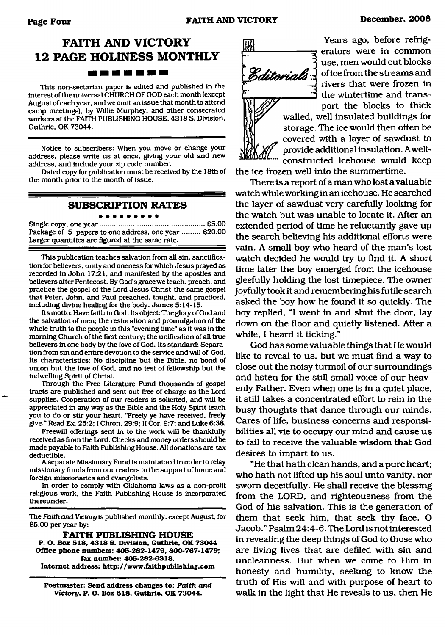#### **FAITH AND VICTORY 12 PAGE HOLINESS MONTHLY** ▄▖▄▗▖▄▗▖▄▗▄

This non-sectarian paper is edited and published in the interest of the universal CHURCH OF GOD each month (except August of each year, and we omit an issue that month to attend camp meetings), by Willie Murphey, and other consecrated workers at the FAITH PUBLISHING HOUSE. 4318 S. Division, Guthrie, OK 73044.

Notice to subscribers: When you move or change your address, please write us at once, giving your old and new address, and include your zip code number.

Dated copy for publication must be received by the 18th of the month prior to the month of issue.

#### **SUBSCRIPTION RATES**

. . . . .

Single copy, one year......................................................\$5.00 Package of 5 papers to one address, one year ......... \$20.00 Larger quantities are figured at the same rate.

This publication teaches salvation from all sin, sanctification for believers, unity and oneness for which Jesus prayed as recorded in John 17:21, and manifested by the apostles and believers after Pentecost. By God's grace we teach, preach, and practice the gospel of the Lord Jesus Christ-the same gospel that Peter, John, and Paul preached, taught, and practiced, including divine healing for the body. James 5:14-15.

Its motto: Have faith in God. Its object: The glory of God and the salvation of men; the restoration and promulgation of the whole truth to the people in this "evening time" as it was in the morning Church of the first century; the unification of all true believers in one body by the love of God. Its standard: Separation from sin and entire devotion to the service and will of God. Its characteristics: No discipline but the Bible, no bond of union but the love of God, and no test of fellowship but the indwelling Spirit of Christ.

Through the Free Literature Fund thousands of gospel tracts are published and sent out free of charge as the Lord supplies. Cooperation of our readers is solicited, and will be appreciated in any way as the Bible and the Holy Spirit teach you to do or stir your heart. "Freely ye have received, freely give." Read Ex. 25:2; I Chron. 29:9; II Cor. 9:7; and Luke 6:38.

Freewill offerings sent in to the work will be thankfully received as from the Lord. Checks and money orders should be made payable to Faith Publishing House. All donations are tax deductible.

A separate Missionary Fund is maintained in order to relay missionary funds from our readers to the support of home and foreign missionaries and evangelists.

In order to comply with Oklahoma laws as a non-profit religious work, the Faith Publishing House is incorporated thereunder.

The *Faith and Victory* is published monthly, except August, for \$5.00 per year by:

**FAITH PUBLISHING HOUSE P. O. Box 518, 4318 S. Division, Guthrie, OK 73044 Office phone numbers: 405-282-1479, 800-767-1479; fax number: 405-282-6318. Internet address:<http://www.faithpublishing.com>**

**Postmaster: Send address changes to: Faith** *and Victory,* **P. O. Box 518, Guthrie, OK 73044.**



**Years ago, before refrigerators were in common use, men would cut blocks of ice from the stream s and rivers that were frozen in the wintertime and transport the blocks to thick walled, well insulated buildings for storage. The ice would then often be covered with a layer of sawdust to** *[ ) ( f f* **provide additional insulation. A wellconstructed icehouse would keep**

**the ice frozen well into the summertime.**

There is a report of a man who lost a valuable **watch while working in an icehouse. He searched the layer of sawdust very carefully looking for** the watch but was unable to locate it. After an **extended period of time he reluctantly gave up the search believing his additional efforts were** vain. A small boy who heard of the man's lost **watch decided he would try to find it. A short time later the boy emerged from the icehouse gleefully holding the lost timepiece. The owner joyfully took it and remembering his futile search asked the boy how he found it so quickly. The boy replied, "I went in and shut the door, lay down on the floor and quietly listened. After a while, I heard it ticking."**

**God has some valuable things that He would** like to reveal to us, but we must find a way to **close out the noisy turmoil of our surroundings** and listen for the still small voice of our heav**enly Father. Even when one is in a quiet place, it still takes a concentrated effort to rein in the** busy thoughts that dance through our minds. **Cares of life, business concerns and responsi**bilities all vie to occupy our mind and cause us **to fail to receive the valuable w isdom that God desires to impart to us.**

**"He that hath clean hands, and a pure heart; who hath not lifted up his soul unto vanity, nor sworn deceitfully. He shall receive the blessing** from the LORD, and righteousness from the **God of his salvation. This is the generation of them that seek him, that seek thy face, O Jacob." Psalm 24:4-6. The Lord is not interested in revealing the deep things of God to those who are living lives that are defiled with sin and uncleanness. But when we come to Him in honesty and humility, seeking to know the truth of His will and with purpose of heart to walk in the light that He reveals to us, then He**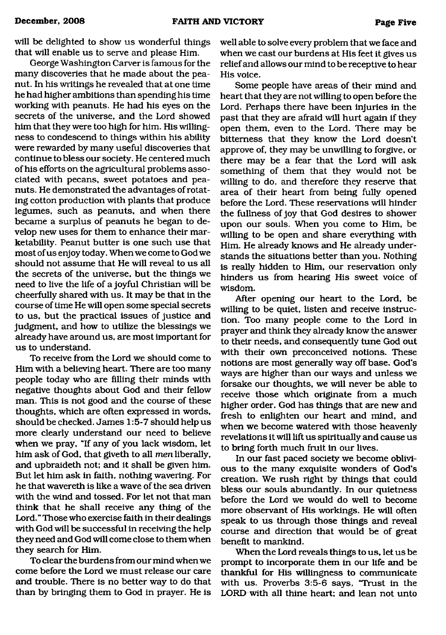will be delighted to show us wonderful things that will enable us to serve and please Him.

**George Washington Carver is famous for the** many discoveries that he made about the pea**nut. In his writings he revealed that at one time he had higher ambitions than spending his time working with peanuts. He had his eyes on the secrets of the universe, and the Lord showed him that they were too high for him. His willingness to condescend to things within his ability were rewarded by many useful discoveries that continue to bless our society. He centered much** of his efforts on the agricultural problems asso**ciated with pecans, sweet potatoes and peanuts. He demonstrated the advantages of rotating cotton production with plants that produce legumes, such as peanuts, and when there** became a surplus of peanuts he began to develop new uses for them to enhance their mar**ketability. Peanut butter is one such use that** most of us enjoy today. When we come to God we should not assume that He will reveal to us all **the secrets of the universe, but the things we** need to live the life of a joyful Christian will be cheerfully shared with us. It may be that in the **course of time He will open some special secrets to us, but the practical issues of justice and judgment, and how to utilize the blessings we already have around us, are most important for** us to understand.

**To receive from the Lord we should come to Him with a believing heart. There are too many** people today who are filling their minds with **negative thoughts about God and their fellow man. This is not good and the course of these thoughts, which are often expressed in words,** should be checked. James 1:5-7 should help us **more clearly understand our need to believe** when we pray, "If any of you lack wisdom, let **him ask of God, that giveth to all** *men* **liberally, and upbraideth not; and it shall be given him. But let him ask in faith, nothing wavering. For** he that wavereth is like a wave of the sea driven with the wind and tossed. For let not that man **think that he shall receive any thing of the Lord." Those who exercise faith in their dealings with God will be successful in receiving the help they need and God will come close to them when they search for Him.**

**To clear the burden s from our mind when we** come before the Lord we must release our care **and trouble. There is no better way to do that than by bringing them to God in prayer. He is**

**well able to solve every problem that we face and** when we cast our burdens at His feet it gives us **relief and allows our mind to be receptive to hear His voice.**

Some people have areas of their mind and **heart that they are not willing to open before the Lord. Perhaps there have been injuries in the past that they are afraid will hurt again if they open them, even to the Lord. There may be bitterness that they know the Lord doesn't approve of, they may be unwilling to forgive, or there m ay be a fear that the Lord will ask something of them that they would not be willing to do, and therefore they reserve that** area of their heart from being fully opened **before the Lord. These reservations will hinder the fullness of joy that God desires to shower upon our souls. W hen you come to Him, be willing to be open and share everything with Him. He already knows and He already understands the situations better than you. Nothing is really hidden to Him, our reservation only** hinders us from hearing His sweet voice of **wisdom .**

**After opening our heart to the Lord, be willing to be quiet, listen and receive instruction. Too many people come to the Lord in prayer and think they already know the answer to their needs, and consequently tune God out with their own preconceived notions. These** notions are most generally way off base. God's ways are higher than our ways and unless we **forsake our thoughts, we will never be able to receive those which originate from a much higher order. God has things that are new and** fresh to enlighten our heart and mind, and when we become watered with those heavenly revelations it will lift us spiritually and cause us **to bring forth much fruit in our lives.**

**In our fast paced society we become oblivi**ous to the many exquisite wonders of God's creation. We rush right by things that could **b less our souls abundantly. In our quietness before the Lord we would do well to become more observant of His workings. He will often** speak to us through those things and reveal course and direction that would be of great **benefit to mankind.**

When the Lord reveals things to us, let us be **prompt to incorporate them in our life and be thankful for His willingness to communicate** with us. Proverbs 3:5-6 says, "Trust in the **LORD with all thine heart; and lean not unto**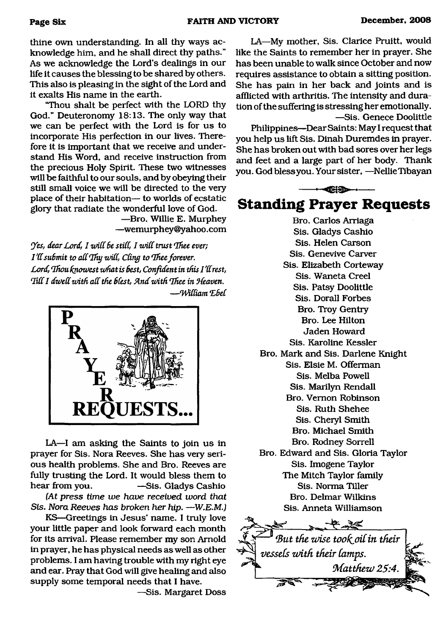**thine own understanding. In all thy ways acknowledge him, and he shall direct thy paths."** As we acknowledge the Lord's dealings in our **life it causes the blessing to be shared by others. This also is pleasing in the sight of the Lord and** it exalts His name in the earth.

**"Thou shalt be perfect with the LORD thy** God." Deuteronomy 18:13. The only way that we can be perfect with the Lord is for us to incorporate His perfection in our lives. There**fore it is important that we receive and under**stand His Word, and receive instruction from **the precious Holy Spirit. These two witnesses will be faithful to our souls, and by obeying their** still small voice we will be directed to the very place of their habitation— to worlds of ecstatic **glory that radiate the wonderful love of God.**

> **— Bro. Willie E. Murphey — wemurphey@yahoo. com**

*Yes, dear Lord, I will be still, I will trust Thee ever; I'll submit to all Thy will, Cling to Thee forever.* Lord, Thou knowest what is best, Confident in this I'll rest, Till I dwell with all the blest, And with Thee in Heaven, *— 'Widiam LBeC*



LA—I am asking the Saints to join us in **prayer for Sis. Nora Reeves. She has very serious health problems. She and Bro. Reeves are fully trusting the Lord. It would bless them to hear from you. — Sis. G ladys Cashio**

*(At press time w e have received word that Sis. Nora Reeves has broken her hip.* **—** *W .E.M.)*

KS-Greetings in Jesus' name. I truly love **your little paper and look forward each month for its arrival. Please remember my son Arnold in prayer, he has physical needs as well as other problems. I am having trouble with my right eye and ear. Pray that God will give healing and also supply some temporal needs that I have.**

**— Sis. Margaret Doss**

**LA— My mother, Sis. Clarice Pruitt, would like the Saints to remember her in prayer. She has been unable to walk since October and now requires assistance to obtain a sitting position.** She has pain in her back and joints and is **afflicted with arthritis. The intensity and dura**  tion of the suffering is stressing her emotionally. **— Sis. Genece Doolittle**

Philippines—Dear Saints: May I request that you help us lift Sis. Dinah Duremdes in prayer. **She has broken out with bad sores over her legs** and feet and a large part of her body. Thank **you. God bless you. Your sister, — Nellie Tibayan**



**Bro. Carlos Arriaga Sis. Gladys Cashio Sis. Helen Carson Sis. Genevive Carver Sis. Elizabeth Corteway** Sis. Waneta Creel **Sis. Patsy Doolittle Sis. Dorall Forbes Bro. Troy Gentry Bro. Lee Hilton Jaden Howard Sis. Karoline Kessler Bro. M ark and Sis. Darlene Knight Sis. Elsie M. Offerman Sis. Melba Powell Sis. Marilyn Rendall Bro. Vernon Robinson Sis. Ruth Shehee Sis. Cheryl Smith Bro. Michael Smith Bro. Rodney Sorrell Bro. Edward and Sis. Gloria Taylor Sis. Imogene Taylor The Mitch Taylor family Sis. Norma Tiller Bro. Delmar Wilkins Sis. Anneta Williamson** 

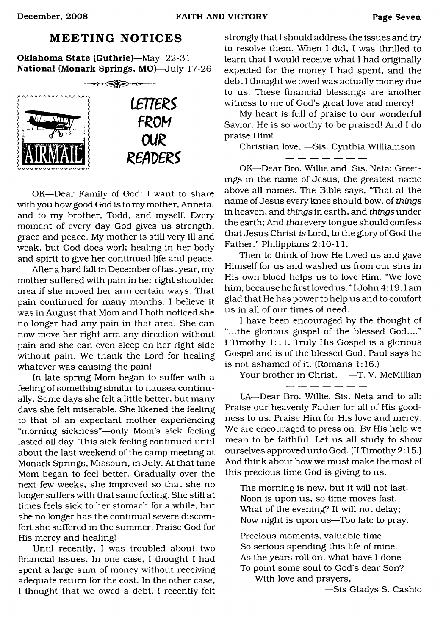#### **MEETING NOTICES**

**Oklahoma State (Guthrie)**—May 22-31 **National (Monark Springs, MO)**—July 17-26



OK—Dear Family of God: I want to share with you how good God is to my mother, Anneta, and to my brother, Todd, and myself. Every moment of every day God gives us strength, grace and peace. My mother is still very ill and weak, but God does work healing in her body and spirit to give her continued life and peace.

After a hard fall in December of last year, my mother suffered with pain in her right shoulder area if she moved her arm certain ways. That pain continued for many months. I believe it was in August that Mom and I both noticed she no longer had any pain in that area. She can now move her right arm any direction without pain and she can even sleep on her right side without pain. We thank the Lord for healing whatever was causing the pain!

In late spring Mom began to suffer with a feeling of something similar to nausea continually. Some days she felt a little better, but many days she felt miserable. She likened the feeling to that of an expectant mother experiencing "morning sickness"—only Mom's sick feeling lasted all day. This sick feeling continued until about the last weekend of the camp meeting at Monark Springs, Missouri, in July. At that time Mom began to feel better. Gradually over the next few weeks, she improved so that she no longer suffers with that same feeling. She still at times feels sick to her stomach for a while, but she no longer has the continual severe discomfort she suffered in the summer. Praise God for His mercy and healing!

Until recently, I was troubled about two financial issues. In one case, I thought I had spent a large sum of money without receiving adequate return for the cost. In the other case, I thought that we owed a debt. I recently felt

strongly that I should address the issues and try to resolve them. When I did, I was thrilled to learn that I would receive what I had originally expected for the money I had spent, and the debt I thought we owed was actually money due to us. These financial blessings are another witness to me of God's great love and mercy!

My heart is full of praise to our wonderful Savior. He is so worthy to be praised! And I do praise Him!

Christian love, —Sis. Cynthia Williamson

OK—Dear Bro. Willie and Sis. Neta: Greetings in the name of Jesus, the greatest name above all names. The Bible says, "That at the name of Jesus every knee should bow, of *things* in heaven, and *things* in earth, and *things* under the earth; And *that* every tongue should confess that Jesus Christ *is* Lord, to the glory of God the Father." Philippians 2:10-11.

Then to think of how He loved us and gave Himself for us and washed us from our sins in His own blood helps us to love Him. "We love him, because he first loved us." I John 4:19.1 am glad that He has power to help us and to comfort us in all of our times of need.

I have been encouraged by the thought of "...the glorious gospel of the blessed God...." I Timothy 1:11. Truly His Gospel is a glorious Gospel and is of the blessed God. Paul says he is not ashamed of it. (Romans 1:16.)

Your brother in Christ, -T. V. McMillian - -- -- -- -- -

LA—Dear Bro. Willie, Sis. Neta and to all: Praise our heavenly Father for all of His goodness to us. Praise Him for His love and mercy. We are encouraged to press on. By His help we mean to be faithful. Let us all study to show ourselves approved unto God. (II Timothy 2:15.) And think about how we must make the most of this precious time God is giving to us.

The morning is new, but it will not last. Noon is upon us, so time moves fast. What of the evening? It will not delay; Now night is upon us—Too late to pray.

Precious moments, valuable time. So serious spending this life of mine. As the years roll on, what have I done To point some soul to God's dear Son?

With love and prayers,

—Sis Gladys S. Cashio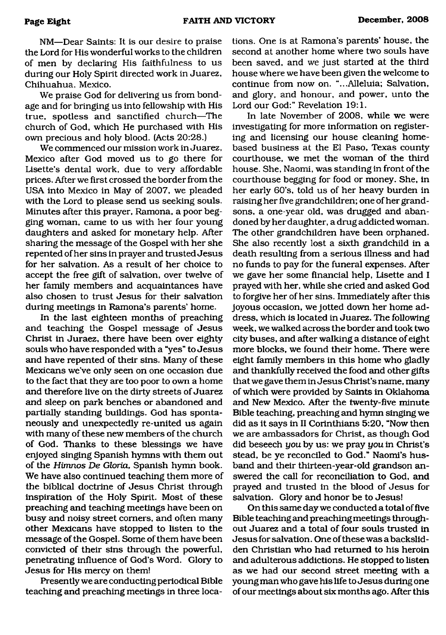**NM— Dear Saints: It is our desire to praise the Lord for His wonderful works to the children of men by declaring His faithfulness to us during our Holy Spirit directed work in Juarez, Ch ihuahua, Mexico.**

We praise God for delivering us from bondage and for bringing us into fellowship with His **true, spotless and sanctified church— The church of God, which He purchased with His own precious and holy blood. (Acts 20:28.)**

**W e commenced our m ission work in Juarez,** Mexico after God moved us to go there for **Lisette's dental work, due to very affordable prices. After we first crossed the border from the** USA into Mexico in May of 2007, we pleaded with the Lord to please send us seeking souls. Minutes after this prayer, Ramona, a poor begging woman, came to us with her four young **daughters and asked for monetary help. After sharing the m essage of the Gospel with her she repented of her sins in prayer and trusted Jesu s** for her salvation. As a result of her choice to **accept the free gift of salvation, over twelve of her family members and acquaintances have also chosen to trust Jesus for their salvation during meetings in Ramona's parents' home.**

In the last eighteen months of preaching and teaching the Gospel message of Jesus **Christ in Juraez, there have been over eighty souls who have responded with a "yes" to Jesu s** and have repented of their sins. Many of these **Mexicans we've only seen on one occasion due to the fact that they are too poor to own a home** and therefore live on the dirty streets of Juarez **and sleep on park benches or abandoned and** partially standing buildings. God has spontaneously and unexpectedly re-united us again with many of these new members of the church of God. Thanks to these blessings we have **enjoyed singing Span ish hymns with them out** of the *Himnos De Gloria*, Spanish hymn book. We have also continued teaching them more of **the biblical doctrine of Jesus Christ through** inspiration of the Holy Spirit. Most of these **preaching and teaching meetings have been on** busy and noisy street corners, and often many **other Mexicans have stopped to listen to the m essage of the Gospel. Some of them have been convicted of their sins through the powerful,** penetrating influence of God's Word. Glory to **Jesus for His mercy on them!** 

**Presently we are conducting periodical Bible teaching and preaching meetings in three loca-** **tions. One is at Ram ona's parents' house, the second at another home where two souls have** been saved, and we just started at the third **house where we have been given the welcome to continue from now on. "...Alleluia; Salvation, and glory, and honour, and power, unto the Lord our God:" Revelation 19:1.**

**In late November of 2008, while we were investigating for more information on registering and licensing our house cleaning homebased business at the El Paso, Texas county** courthouse, we met the woman of the third house. She, Naomi, was standing in front of the **courthouse begging for food or money. She, in her early 60's, told us of her heavy burden in raising her five grandchildren; one of her grand**  sons, a one-year old, was drugged and aban**doned by her daughter, a drug addicted woman. The other grandchildren have been orphaned. She also recently lost a sixth grandchild in a death resulting from a serious illness and had no funds to pay for the funeral expenses. After we gave her some financial help, Lisette and I prayed with her, while she cried and asked God to forgive her of her sins. Immediately after this joyous occasion, we jotted down her home ad dress, which is located in Juarez. The following week, we walked across the border and took two city buses, and after walking a distance of eight more blocks, we found their home. There were** eight family members in this home who gladly **and thankfully received the food and other gifts** that we gave them in Jesus Christ's name, many of which were provided by Saints in Oklahoma and New Mexico. After the twenty-five minute **Bible teaching, preaching and hymn singing we did as it says in II Corinthians 5:20, "Now then we are am bassadors for Christ, as though God did beseech** *you* **by us: w e pray** *you* **in Christ's** stead, be ye reconciled to God." Naomi's hus**band and their thirteen-year-old grandson an swered the call for reconciliation to God, and** prayed and trusted in the blood of Jesus for **salvation. Glory and honor be to Jesus!**

**On this same day we conducted a total of five Bible teaching and preaching meetings through**out Juarez and a total of four souls trusted in Jesus for salvation. One of these was a backslid**den Christian who had returned to his heroin and adulterous addictions. He stopped to listen as we had our second street meeting with a** young man who gave his life to Jesus during one **of our meetings about six months ago. After this**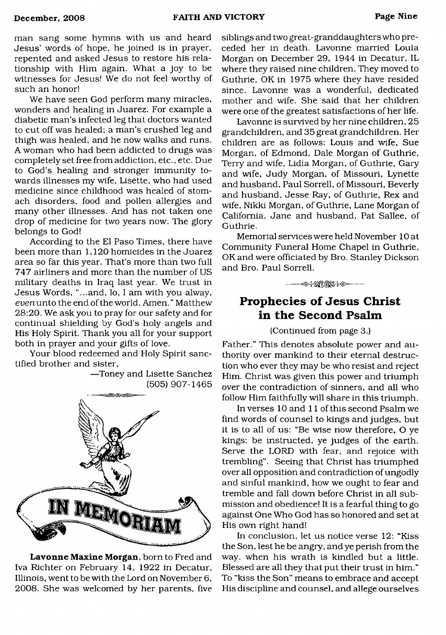man sang some hymns with us and heard Jesus' words of hope, he joined is in prayer, repented and asked Jesus to restore his relationship with Him again. What a joy to be witnesses for Jesus! We do not feel worthy of such an honor!

We have seen God perform many miracles, wonders and healing in Juarez. For example a diabetic man's infected leg that doctors wanted to cut off was healed; a man's crushed leg and thigh was healed, and he now walks and runs. A woman who had been addicted to drugs was completely set free from addiction, etc., etc. Due to God's healing and stronger immunity towards illnesses my wife, Lisette, who had used medicine since childhood was healed of stomach disorders, food and pollen allergies and many other illnesses. And has not taken one drop of medicine for two years now. The glory belongs to God!

According to the El Paso Times, there have been more than 1,120 homicides in the Juarez area so far this year. That's more than two full 747 airliners and more than the number of US military deaths in Iraq last year. We trust in Jesus Words, "...and, lo, I am with you alway, euenunto the end of the world. Amen." Matthew 28:20. We ask you to pray for our safety and for continual shielding by God's holy angels and His Holy Spirit. Thank you all for your support both in prayer and your gifts of love.

Your blood redeemed and Holy Spirit sanctified brother and sister,

—Toney and Lisette Sanchez (505) 907-1465



**Lavonne Maxine Morgan,** born to Fred and Iva Richter on February 14, 1922 in Decatur, Illinois, went to be with the Lord on November 6, 2008. She was welcomed by her parents, five

siblings and two great-granddaughters who preceded her in death. Lavonne married Louia Morgan on December 29, 1944 in Decatur, IL where they raised nine children. They moved to Guthrie, OK in 1975 where they have resided since. Lavonne was a wonderful, dedicated mother and wife. She said that her children were one of the greatest satisfactions of her life.

Lavonne is survived by her nine children, 25 grandchildren, and 35greatgrandchildren. Her children are as follows: Louis and wife, Sue Morgan, of Edmond, Dale Morgan of Guthrie, Terry and wife, Lidia Morgan, of Guthrie, Gary and wife, Judy Morgan, of Missouri, Lynette and husband, Paul Sorrell, of Missouri, Beverly and husband, Jesse Ray, of Guthrie, Rex and wife, Nikki Morgan, of Guthrie, Lane Morgan of California, Jane and husband, Pat Sallee, of Guthrie.

Memorial services were held November 10 at Community Funeral Home Chapel in Guthrie, OK and were officiated by Bro. Stanley Dickson and Bro. Paul Sorrell.

**IS THE RESOLUTION** 

#### **Prophecies of Jesus Christ in the Second Psalm**

(Continued from page 3.)

Father." This denotes absolute power and authority over mankind to their eternal destruction who ever they may be who resist and reject Him. Christ was given this power and triumph over the contradiction of sinners, and all who follow Him faithfully will share in this triumph.

In verses 10 and 11 of this second Psalm we find words of counsel to kings and judges, but it is to all of us: "Be wise now therefore, O ye kings: be instructed, ye judges of the earth. Serve the LORD with fear, and rejoice with trembling". Seeing that Christ has triumphed over all opposition and contradiction of ungodly and sinful mankind, how we ought to fear and tremble and fall down before Christ in all submission and obedience! It is a fearful thing to go against One Who God has so honored and set at His own right hand!

In conclusion, let us notice verse 12: "Kiss the Son, lest he be angry, and ye perish from the way, when his wrath is kindled but a little. Blessed are all they that put their trust in him." To "kiss the Son" means to embrace and accept His discipline and counsel, and allege ourselves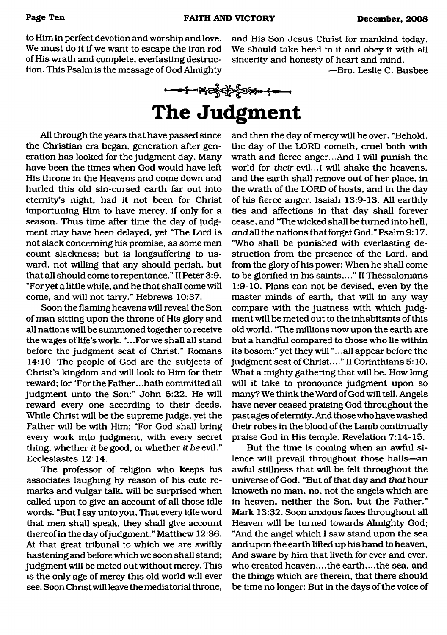to Him in perfect devotion and worship and love. We must do it if we want to escape the iron rod of His wrath and complete, everlasting destruc**tion. This Psalm is the message of God Almighty** and His Son Jesus Christ for mankind today. We should take heed to it and obey it with all **sincerity and honesty of heart and mind.**

**— Bro. Leslie C. Busbee**



## <span id="page-9-0"></span>**The Judgment**

**A ll through the years that have passed since the Christian era began, generation after gen**eration has looked for the judgment day. Many **have been the times when God would have left His throne in the Heavens and come down and hurled this old sin-cursed earth far out into eternity's night, had it not been for Christ importuning Him to have mercy, if only for a** season. Thus time after time the day of judg**ment m ay have been delayed, yet "The Lord is not slack concerning his promise, as some men** count slackness; but is longsuffering to usward, not willing that any should perish, but **that all should come to repentance." II Peter 3:9. "For yet a little while, and he that shall come will** come, and will not tarry." Hebrews 10:37.

**Soon the flam ing heavens will reveal the Son** of man sitting upon the throne of His glory and **all nations will be summoned together to receive the wages of life's work. ".. .For we shall all stand** before the judgment seat of Christ." Romans **14:10. The people of God are the subjects of Christ's kingdom and will look to Him for their reward; for "For the Father.. .hath committed all judgm ent unto the Son:" John 5:22. He will reward every one according to their deeds. While Christ will be the supreme judge, yet the Father will be with Him; "For God shall bring every work into judgment, with every secret thing, whether** *it be* **good, or whether** *it be* **evil." Ecclesiastes 12:14.**

The professor of religion who keeps his associates laughing by reason of his cute remarks and vulgar talk, will be surprised when called upon to give an account of all those idle **words. "But I say unto you, That every idle word that men shall speak, they shall give account** thereof in the day of judgment." Matthew 12:36. At that great tribunal to which we are swiftly **hastening and before which we soon shall stand; judgm ent will be meted out without mercy. This is the only age of mercy this old world will ever see. Soon Christ will leave the mediatorial throne,**

**and then the day of mercy will be over. "Behold, the day of the LORD cometh, cruel both with** wrath and fierce anger...And I will punish the **world for** *their* **evil...I will shake the heavens, and the earth shall remove out of her place, in** the wrath of the LORD of hosts, and in the day of his fierce anger. Isaiah 13:9-13. All earthly **ties and affections in that day shall forever cease, and "The wicked shall be turned into hell,** and all the nations that forget God." Psalm 9:17. "Who shall be punished with everlasting de**struction from the presence of the Lord, and** from the glory of his power; When he shall come **to be glorified in his saints,..." IIThessalon ians 1:9-10. Plans can not be devised, even by the** master minds of earth, that will in any way compare with the justness with which judgment will be meted out to the inhabitants of this **old world. "The millions now upon the earth are** but a handful compared to those who lie within **its bosom ;" yet they will ".. .all appear before the** judgment seat of Christ...." II Corinthians 5:10. **W hat a mighty gathering that will be. How long** will it take to pronounce judgment upon so many? We think the Word of God will tell. Angels **have never ceased praising God throughout the past ages of eternity. And those who have washed** their robes in the blood of the Lamb continually praise God in His temple. Revelation 7:14-15.

But the time is coming when an awful si**lence will prevail throughout those halls— an awful stillness that will be felt throughout the** universe of God. "But of that day and *that* hour knoweth no man, no, not the angels which are **in heaven, neither the Son, but the Father." M ark 13:32. Soon anxious faces throughout all** Heaven will be turned towards Almighty God; **"And the angel which I saw stand upon the sea and upon the earth lifted up his hand to heaven, And sware by him that liveth for ever and ever, who created heaven,...the earth,...the sea, and the things which are therein, that there should** be time no longer: But in the days of the voice of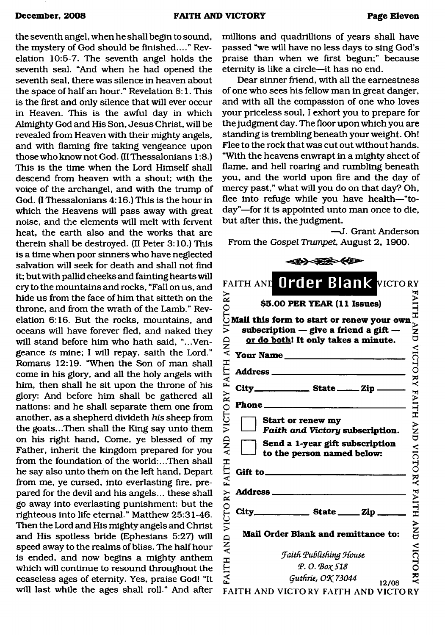the seventh angel, when he shall begin to sound, **the mystery of God should be finished...." Revelation 10:5-7. The seventh angel holds the seventh seal. "And when he had opened the** seventh seal, there was silence in heaven about the space of half an hour." Revelation 8:1. This **is the first and only silence that will ever occur** in Heaven. This is the awful day in which Almighty God and His Son, Jesus Christ, will be **revealed from Heaven with their mighty angels, and with flaming fire taking vengeance upon those who know not God. (II Thessalonians 1:8.)** This is the time when the Lord Himself shall **descend from heaven with a shout; with the voice of the archangel, and with the trump of God. (I Thessalonians 4:16.) This is the hour in** which the Heavens will pass away with great **noise, and the elements will melt with fervent** heat, the earth also and the works that are **therein shall be destroyed. (II Peter 3:10.) This is a time when poor sinners who have neglected salvation will seek for death and shall not find it; but with pallid cheeks and fainting hearts will cry to the mountains and rocks, "Fall on us, and** hide us from the face of him that sitteth on the throne, and from the wrath of the Lamb." Rev**elation 6:16. But the rocks, mountains, and oceans will have forever fled, and naked they will stand before him who hath said, "...Vengeance is mine; I will repay, saith the Lord."** Romans 12:19. "When the Son of man shall **come in his glory, and all the holy angels with him, then shall he sit upon the throne of his** glory: And before him shall be gathered all **nations: and he shall separate them one from another, as a shepherd divideth** *his* **sheep from the goats...Then shall the King say unto them** on his right hand, Come, ye blessed of my **Father, inherit the kingdom prepared for you** from the foundation of the world:...Then shall **he say also unto them on the left hand, Depart from me, ye cursed, into everlasting fire, pre**pared for the devil and his angels... these shall **go away into everlasting punishment: but the righteous into life eternal." Matthew 25:31-46.** Then the Lord and His mighty angels and Christ and His spotless bride (Ephesians 5:27) will speed away to the realms of bliss. The half hour **is ended, and now begins a mighty anthem which will continue to resound throughout the** ceaseless ages of eternity. Yes, praise God! "It **will last while the ages shall roll." And after**

**millions and quadrillions of years shall have passed "we will have no less days to sing God 's** praise than when we first begun;" because **eternity is like a circle— it has no end.**

**Dear sinner friend, with all the earnestness** of one who sees his fellow man in great danger, and with all the compassion of one who loves **your priceless soul, I exhort you to prepare for** the judgment day. The floor upon which you are **standing is trembling beneath your weight. Oh!** Flee to the rock that was cut out without hands. **"W ith the heavens enwrapt in a mighty sheet of** flame, and hell roaring and rumbling beneath **you, and the world upon fire and the day of mercy past," what will you do on that day? Oh, flee into refuge while you have health— "to**day"—for it is appointed unto man once to die, but after this, the judgment.

**— J. Grant Anderson** From the *Gospel Trumpet*, August 2, 1900.

| FAITH AND Order Blank VICTORY               |                                                                                                                                                                                                                                                                                       |                |  |
|---------------------------------------------|---------------------------------------------------------------------------------------------------------------------------------------------------------------------------------------------------------------------------------------------------------------------------------------|----------------|--|
|                                             |                                                                                                                                                                                                                                                                                       | HTIA.          |  |
| <b>AND</b>                                  | $\begin{array}{ll}\n\approx & 5.00 \text{ PER YEAR (11 Issues)}\\ \odot & 55.00 \text{ PER YEAR (11 Issues)}\\ \odot & \text{Mail this form to start or renew your own}\\ \ge & \text{subscription} - \text{give a friend a gift} \end{array}$<br>or do both! It only takes a minute. | $\overline{z}$ |  |
|                                             | Your Name                                                                                                                                                                                                                                                                             |                |  |
| ITH                                         |                                                                                                                                                                                                                                                                                       |                |  |
|                                             | City__________________ State _______ Zip _____                                                                                                                                                                                                                                        |                |  |
|                                             |                                                                                                                                                                                                                                                                                       | VICTORY FAITH  |  |
| VICTORY FAI                                 | Start or renew my<br>Faith and Victory subscription.                                                                                                                                                                                                                                  | ¥N⊅            |  |
| <b>QNY</b>                                  | Send a 1-year gift subscription<br>to the person named below:                                                                                                                                                                                                                         | <b>VICTORY</b> |  |
| ITH                                         | Gift to $\qquad \qquad$                                                                                                                                                                                                                                                               |                |  |
| EAI                                         |                                                                                                                                                                                                                                                                                       |                |  |
| VICTORY                                     | $City$ <sub>____________</sub> State _____ Zip ______                                                                                                                                                                                                                                 | <b>FAITH</b>   |  |
| $\mathop{\mathrm{AN}}\limits_{\mathcal{A}}$ | Mail Order Blank and remittance to:                                                                                                                                                                                                                                                   | ¥N<br>UN       |  |
|                                             | <b>Faith Publishing House</b>                                                                                                                                                                                                                                                         | <b>VICTO</b>   |  |
| FAITH                                       | P.O. Βοχ 518                                                                                                                                                                                                                                                                          |                |  |
|                                             | Guthrie, OK 73044<br>12/08                                                                                                                                                                                                                                                            | ž              |  |
|                                             | FAITH AND VICTORY FAITH AND VICTORY                                                                                                                                                                                                                                                   |                |  |